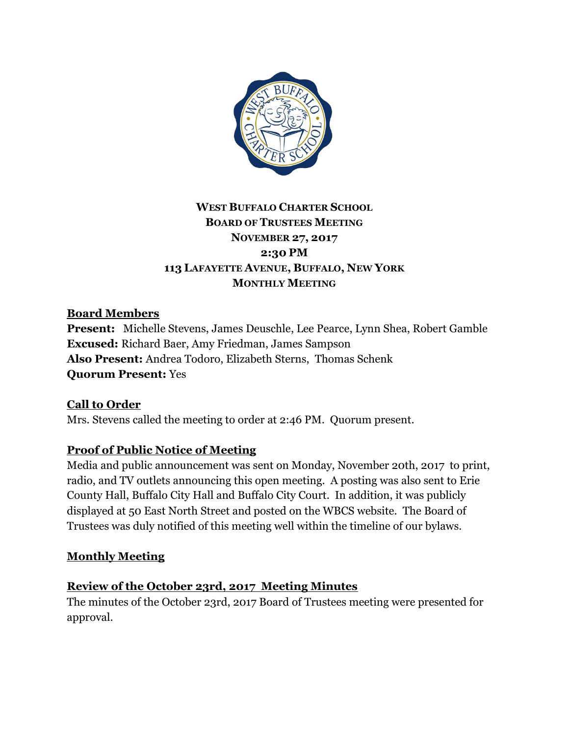

# **WEST BUFFALO CHARTER SCHOOL BOARD OF TRUSTEES MEETING NOVEMBER 27, 2017 2:30 PM 113 LAFAYETTE AVENUE, BUFFALO, NEW YORK MONTHLY MEETING**

# **Board Members**

**Present:** Michelle Stevens, James Deuschle, Lee Pearce, Lynn Shea, Robert Gamble **Excused:** Richard Baer, Amy Friedman, James Sampson **Also Present:** Andrea Todoro, Elizabeth Sterns, Thomas Schenk **Quorum Present:** Yes

**Call to Order** Mrs. Stevens called the meeting to order at 2:46 PM. Quorum present.

## **Proof of Public Notice of Meeting**

Media and public announcement was sent on Monday, November 20th, 2017 to print, radio, and TV outlets announcing this open meeting. A posting was also sent to Erie County Hall, Buffalo City Hall and Buffalo City Court. In addition, it was publicly displayed at 50 East North Street and posted on the WBCS website. The Board of Trustees was duly notified of this meeting well within the timeline of our bylaws.

## **Monthly Meeting**

## **Review of the October 23rd, 2017 Meeting Minutes**

The minutes of the October 23rd, 2017 Board of Trustees meeting were presented for approval.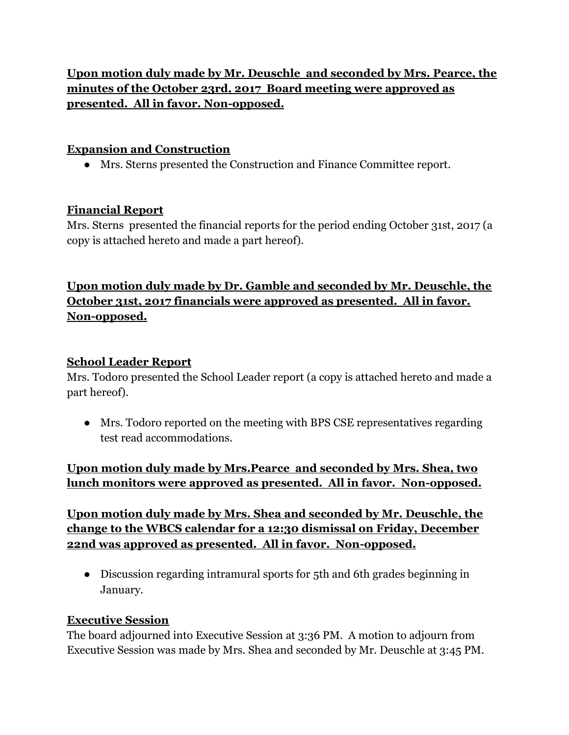**Upon motion duly made by Mr. Deuschle and seconded by Mrs. Pearce, the minutes of the October 23rd, 2017 Board meeting were approved as presented. All in favor. Non-opposed.**

### **Expansion and Construction**

● Mrs. Sterns presented the Construction and Finance Committee report.

### **Financial Report**

Mrs. Sterns presented the financial reports for the period ending October 31st, 2017 (a copy is attached hereto and made a part hereof).

# **Upon motion duly made by Dr. Gamble and seconded by Mr. Deuschle, the October 31st, 2017 financials were approved as presented. All in favor. Non-opposed.**

### **School Leader Report**

Mrs. Todoro presented the School Leader report (a copy is attached hereto and made a part hereof).

• Mrs. Todoro reported on the meeting with BPS CSE representatives regarding test read accommodations.

# **Upon motion duly made by Mrs.Pearce and seconded by Mrs. Shea, two lunch monitors were approved as presented. All in favor. Non-opposed.**

# **Upon motion duly made by Mrs. Shea and seconded by Mr. Deuschle, the change to the WBCS calendar for a 12:30 dismissal on Friday, December 22nd was approved as presented. All in favor. Non-opposed.**

● Discussion regarding intramural sports for 5th and 6th grades beginning in January.

#### **Executive Session**

The board adjourned into Executive Session at 3:36 PM. A motion to adjourn from Executive Session was made by Mrs. Shea and seconded by Mr. Deuschle at 3:45 PM.